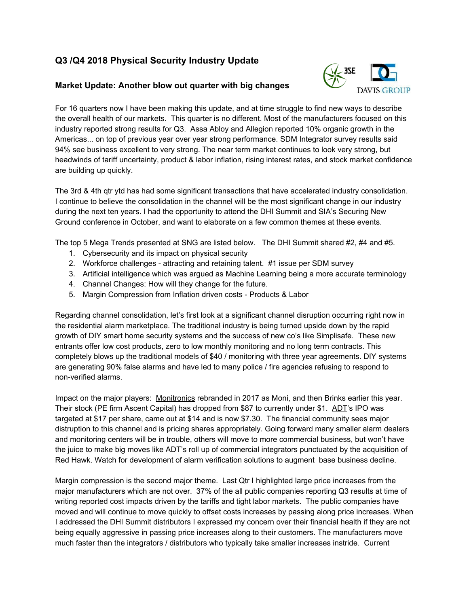## **Q3 /Q4 2018 Physical Security Industry Update**

## **Market Update: Another blow out quarter with big changes**



For 16 quarters now I have been making this update, and at time struggle to find new ways to describe the overall health of our markets. This quarter is no different. Most of the manufacturers focused on this industry reported strong results for Q3. Assa Abloy and Allegion reported 10% organic growth in the Americas... on top of previous year over year strong performance. SDM Integrator survey results said 94% see business excellent to very strong. The near term market continues to look very strong, but headwinds of tariff uncertainty, product & labor inflation, rising interest rates, and stock market confidence are building up quickly.

The 3rd & 4th qtr ytd has had some significant transactions that have accelerated industry consolidation. I continue to believe the consolidation in the channel will be the most significant change in our industry during the next ten years. I had the opportunity to attend the DHI Summit and SIA's Securing New Ground conference in October, and want to elaborate on a few common themes at these events.

The top 5 Mega Trends presented at SNG are listed below. The DHI Summit shared #2, #4 and #5.

- 1. Cybersecurity and its impact on physical security
- 2. Workforce challenges attracting and retaining talent. #1 issue per SDM survey
- 3. Artificial intelligence which was argued as Machine Learning being a more accurate terminology
- 4. Channel Changes: How will they change for the future.
- 5. Margin Compression from Inflation driven costs Products & Labor

Regarding channel consolidation, let's first look at a significant channel disruption occurring right now in the residential alarm marketplace. The traditional industry is being turned upside down by the rapid growth of DIY smart home security systems and the success of new co's like Simplisafe. These new entrants offer low cost products, zero to low monthly monitoring and no long term contracts. This completely blows up the traditional models of \$40 / monitoring with three year agreements. DIY systems are generating 90% false alarms and have led to many police / fire agencies refusing to respond to non-verified alarms.

Impact on the major players: Monitronics rebranded in 2017 as Moni, and then Brinks earlier this year. Their stock (PE firm Ascent Capital) has dropped from \$87 to currently under \$1. ADT's IPO was targeted at \$17 per share, came out at \$14 and is now \$7.30. The financial community sees major distruption to this channel and is pricing shares appropriately. Going forward many smaller alarm dealers and monitoring centers will be in trouble, others will move to more commercial business, but won't have the juice to make big moves like ADT's roll up of commercial integrators punctuated by the acquisition of Red Hawk. Watch for development of alarm verification solutions to augment base business decline.

Margin compression is the second major theme. Last Qtr I highlighted large price increases from the major manufacturers which are not over. 37% of the all public companies reporting Q3 results at time of writing reported cost impacts driven by the tariffs and tight labor markets. The public companies have moved and will continue to move quickly to offset costs increases by passing along price increases. When I addressed the DHI Summit distributors I expressed my concern over their financial health if they are not being equally aggressive in passing price increases along to their customers. The manufacturers move much faster than the integrators / distributors who typically take smaller increases instride. Current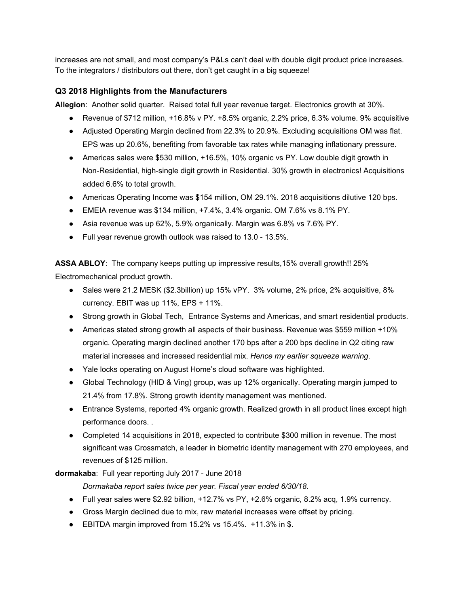increases are not small, and most company's P&Ls can't deal with double digit product price increases. To the integrators / distributors out there, don't get caught in a big squeeze!

## **Q3 2018 Highlights from the Manufacturers**

**Allegion**: Another solid quarter. Raised total full year revenue target. Electronics growth at 30%.

- Revenue of \$712 million, +16.8% v PY. +8.5% organic, 2.2% price, 6.3% volume. 9% acquisitive
- Adjusted Operating Margin declined from 22.3% to 20.9%. Excluding acquisitions OM was flat. EPS was up 20.6%, benefiting from favorable tax rates while managing inflationary pressure.
- Americas sales were \$530 million, +16.5%, 10% organic vs PY. Low double digit growth in Non-Residential, high-single digit growth in Residential. 30% growth in electronics! Acquisitions added 6.6% to total growth.
- Americas Operating Income was \$154 million, OM 29.1%. 2018 acquisitions dilutive 120 bps.
- EMEIA revenue was \$134 million, +7.4%, 3.4% organic. OM 7.6% vs 8.1% PY.
- Asia revenue was up 62%, 5.9% organically. Margin was 6.8% vs 7.6% PY.
- Full year revenue growth outlook was raised to 13.0 13.5%.

**ASSA ABLOY**: The company keeps putting up impressive results,15% overall growth!! 25% Electromechanical product growth.

- Sales were 21.2 MESK (\$2.3billion) up 15% vPY. 3% volume, 2% price, 2% acquisitive, 8% currency. EBIT was up 11%, EPS + 11%.
- Strong growth in Global Tech, Entrance Systems and Americas, and smart residential products.
- Americas stated strong growth all aspects of their business. Revenue was \$559 million +10% organic. Operating margin declined another 170 bps after a 200 bps decline in Q2 citing raw material increases and increased residential mix. *Hence my earlier squeeze warning*.
- Yale locks operating on August Home's cloud software was highlighted.
- Global Technology (HID & Ving) group, was up 12% organically. Operating margin jumped to 21.4% from 17.8%. Strong growth identity management was mentioned.
- Entrance Systems, reported 4% organic growth. Realized growth in all product lines except high performance doors. .
- Completed 14 acquisitions in 2018, expected to contribute \$300 million in revenue. The most significant was Crossmatch, a leader in biometric identity management with 270 employees, and revenues of \$125 million.

**dormakaba**: Full year reporting July 2017 - June 2018

*Dormakaba report sales twice per year. Fiscal year ended 6/30/18.*

- Full year sales were  $$2.92$  billion,  $+12.7\%$  vs PY,  $+2.6\%$  organic,  $8.2\%$  acq,  $1.9\%$  currency.
- Gross Margin declined due to mix, raw material increases were offset by pricing.
- EBITDA margin improved from 15.2% vs 15.4%. +11.3% in \$.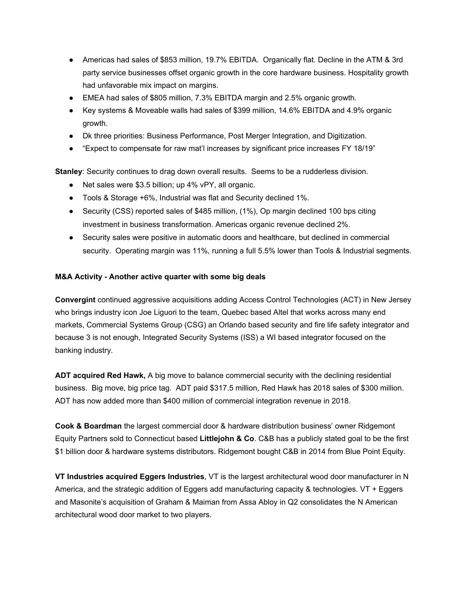- Americas had sales of \$853 million, 19.7% EBITDA. Organically flat. Decline in the ATM & 3rd party service businesses offset organic growth in the core hardware business. Hospitality growth had unfavorable mix impact on margins.
- EMEA had sales of \$805 million, 7.3% EBITDA margin and 2.5% organic growth.
- Key systems & Moveable walls had sales of \$399 million, 14.6% EBITDA and 4.9% organic growth.
- Dk three priorities: Business Performance, Post Merger Integration, and Digitization.
- "Expect to compensate for raw mat'l increases by significant price increases FY 18/19"

**Stanley**: Security continues to drag down overall results. Seems to be a rudderless division.

- Net sales were \$3.5 billion; up 4% vPY, all organic.
- Tools & Storage +6%, Industrial was flat and Security declined 1%.
- Security (CSS) reported sales of \$485 million, (1%), Op margin declined 100 bps citing investment in business transformation. Americas organic revenue declined 2%.
- Security sales were positive in automatic doors and healthcare, but declined in commercial security. Operating margin was 11%, running a full 5.5% lower than Tools & Industrial segments.

## **M&A Activity - Another active quarter with some big deals**

**Convergint** continued aggressive acquisitions adding Access Control Technologies (ACT) in New Jersey who brings industry icon Joe Liguori to the team, Quebec based Altel that works across many end markets, Commercial Systems Group (CSG) an Orlando based security and fire life safety integrator and because 3 is not enough, Integrated Security Systems (ISS) a WI based integrator focused on the banking industry.

**ADT acquired Red Hawk,** A big move to balance commercial security with the declining residential business. Big move, big price tag. ADT paid \$317.5 million, Red Hawk has 2018 sales of \$300 million. ADT has now added more than \$400 million of commercial integration revenue in 2018.

**Cook & Boardman** the largest commercial door & hardware distribution business' owner Ridgemont Equity Partners sold to Connecticut based **Littlejohn & Co**. C&B has a publicly stated goal to be the first \$1 billion door & hardware systems distributors. Ridgemont bought C&B in 2014 from Blue Point Equity.

**VT Industries acquired Eggers Industries**, VT is the largest architectural wood door manufacturer in N America, and the strategic addition of Eggers add manufacturing capacity & technologies. VT + Eggers and Masonite's acquisition of Graham & Maiman from Assa Abloy in Q2 consolidates the N American architectural wood door market to two players.